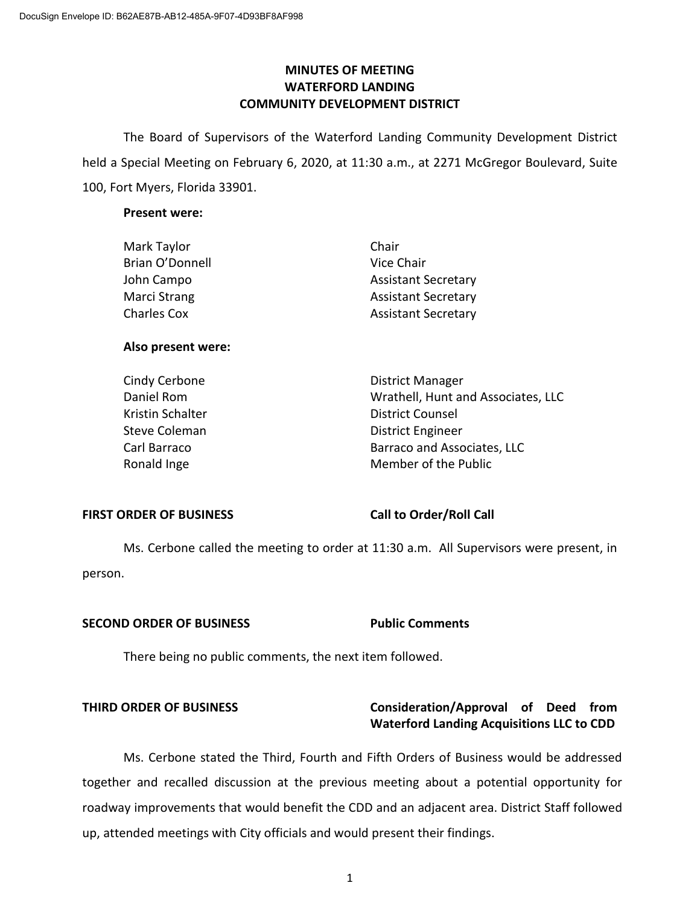# **MINUTES OF MEETING WATERFORD LANDING COMMUNITY DEVELOPMENT DISTRICT**

The Board of Supervisors of the Waterford Landing Community Development District held a Special Meeting on February 6, 2020, at 11:30 a.m., at 2271 McGregor Boulevard, Suite 100, Fort Myers, Florida 33901.

#### **Present were:**

| Mark Taylor        | Chair                      |
|--------------------|----------------------------|
| Brian O'Donnell    | Vice Chair                 |
| John Campo         | <b>Assistant Secretary</b> |
| Marci Strang       | <b>Assistant Secretary</b> |
| <b>Charles Cox</b> | <b>Assistant Secretary</b> |
|                    |                            |

### **Also present were:**

Cindy Cerbone **District Manager** Daniel Rom Wrathell, Hunt and Associates, LLC Kristin Schalter **District Counsel** Steve Coleman **District Engineer** Carl Barraco **Barraco and Associates**, LLC Ronald Inge Member of the Public

### **FIRST ORDER OF BUSINESS Call to Order/Roll Call**

Ms. Cerbone called the meeting to order at 11:30 a.m. All Supervisors were present, in person.

### **SECOND ORDER OF BUSINESS Public Comments**

There being no public comments, the next item followed.

# **THIRD ORDER OF BUSINESS Consideration/Approval of Deed from Waterford Landing Acquisitions LLC to CDD**

Ms. Cerbone stated the Third, Fourth and Fifth Orders of Business would be addressed together and recalled discussion at the previous meeting about a potential opportunity for roadway improvements that would benefit the CDD and an adjacent area. District Staff followed up, attended meetings with City officials and would present their findings.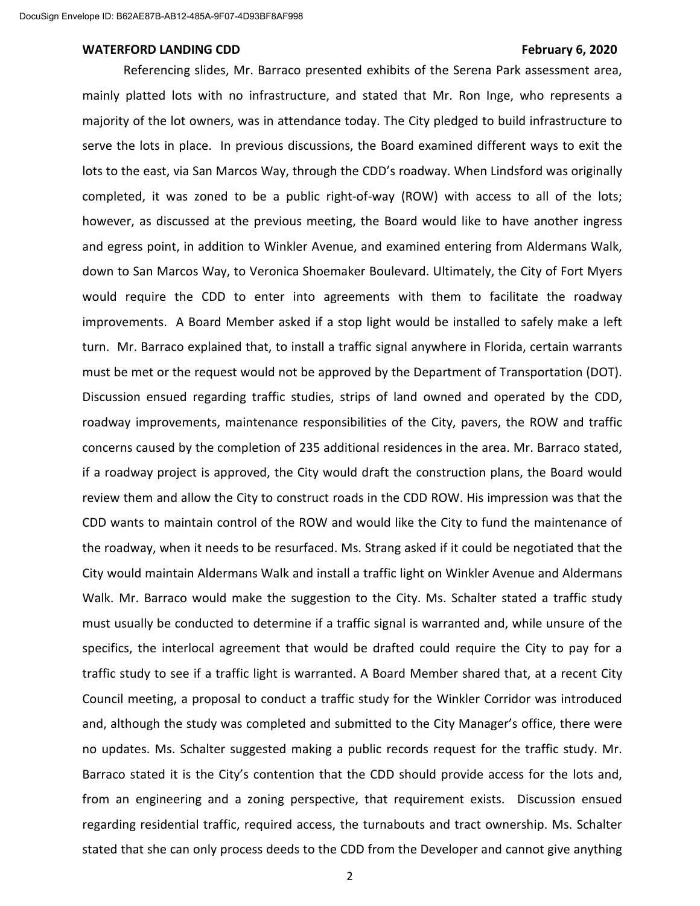#### WATERFORD LANDING CDD **February 6, 2020**

Referencing slides, Mr. Barraco presented exhibits of the Serena Park assessment area, mainly platted lots with no infrastructure, and stated that Mr. Ron Inge, who represents a majority of the lot owners, was in attendance today. The City pledged to build infrastructure to serve the lots in place. In previous discussions, the Board examined different ways to exit the lots to the east, via San Marcos Way, through the CDD's roadway. When Lindsford was originally completed, it was zoned to be a public right-of-way (ROW) with access to all of the lots; however, as discussed at the previous meeting, the Board would like to have another ingress and egress point, in addition to Winkler Avenue, and examined entering from Aldermans Walk, down to San Marcos Way, to Veronica Shoemaker Boulevard. Ultimately, the City of Fort Myers would require the CDD to enter into agreements with them to facilitate the roadway improvements. A Board Member asked if a stop light would be installed to safely make a left turn. Mr. Barraco explained that, to install a traffic signal anywhere in Florida, certain warrants must be met or the request would not be approved by the Department of Transportation (DOT). Discussion ensued regarding traffic studies, strips of land owned and operated by the CDD, roadway improvements, maintenance responsibilities of the City, pavers, the ROW and traffic concerns caused by the completion of 235 additional residences in the area. Mr. Barraco stated, if a roadway project is approved, the City would draft the construction plans, the Board would review them and allow the City to construct roads in the CDD ROW. His impression was that the CDD wants to maintain control of the ROW and would like the City to fund the maintenance of the roadway, when it needs to be resurfaced. Ms. Strang asked if it could be negotiated that the City would maintain Aldermans Walk and install a traffic light on Winkler Avenue and Aldermans Walk. Mr. Barraco would make the suggestion to the City. Ms. Schalter stated a traffic study must usually be conducted to determine if a traffic signal is warranted and, while unsure of the specifics, the interlocal agreement that would be drafted could require the City to pay for a traffic study to see if a traffic light is warranted. A Board Member shared that, at a recent City Council meeting, a proposal to conduct a traffic study for the Winkler Corridor was introduced and, although the study was completed and submitted to the City Manager's office, there were no updates. Ms. Schalter suggested making a public records request for the traffic study. Mr. Barraco stated it is the City's contention that the CDD should provide access for the lots and, from an engineering and a zoning perspective, that requirement exists. Discussion ensued regarding residential traffic, required access, the turnabouts and tract ownership. Ms. Schalter stated that she can only process deeds to the CDD from the Developer and cannot give anything

2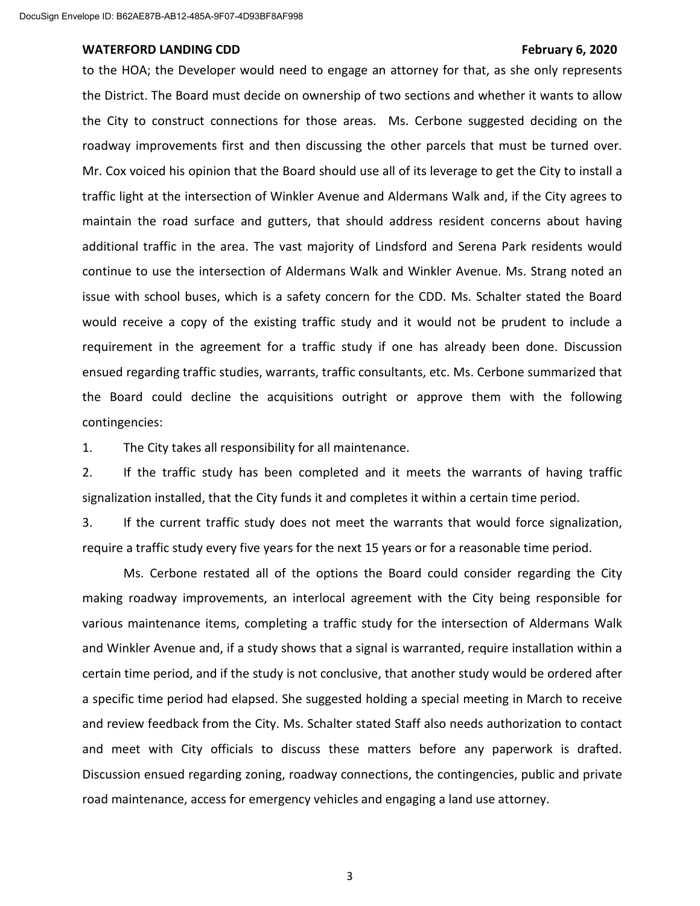to the HOA; the Developer would need to engage an attorney for that, as she only represents the District. The Board must decide on ownership of two sections and whether it wants to allow the City to construct connections for those areas. Ms. Cerbone suggested deciding on the roadway improvements first and then discussing the other parcels that must be turned over. Mr. Cox voiced his opinion that the Board should use all of its leverage to get the City to install a traffic light at the intersection of Winkler Avenue and Aldermans Walk and, if the City agrees to maintain the road surface and gutters, that should address resident concerns about having additional traffic in the area. The vast majority of Lindsford and Serena Park residents would continue to use the intersection of Aldermans Walk and Winkler Avenue. Ms. Strang noted an issue with school buses, which is a safety concern for the CDD. Ms. Schalter stated the Board would receive a copy of the existing traffic study and it would not be prudent to include a requirement in the agreement for a traffic study if one has already been done. Discussion ensued regarding traffic studies, warrants, traffic consultants, etc. Ms. Cerbone summarized that the Board could decline the acquisitions outright or approve them with the following contingencies:

1. The City takes all responsibility for all maintenance.

2. If the traffic study has been completed and it meets the warrants of having traffic signalization installed, that the City funds it and completes it within a certain time period.

3. If the current traffic study does not meet the warrants that would force signalization, require a traffic study every five years for the next 15 years or for a reasonable time period.

Ms. Cerbone restated all of the options the Board could consider regarding the City making roadway improvements, an interlocal agreement with the City being responsible for various maintenance items, completing a traffic study for the intersection of Aldermans Walk and Winkler Avenue and, if a study shows that a signal is warranted, require installation within a certain time period, and if the study is not conclusive, that another study would be ordered after a specific time period had elapsed. She suggested holding a special meeting in March to receive and review feedback from the City. Ms. Schalter stated Staff also needs authorization to contact and meet with City officials to discuss these matters before any paperwork is drafted. Discussion ensued regarding zoning, roadway connections, the contingencies, public and private road maintenance, access for emergency vehicles and engaging a land use attorney.

3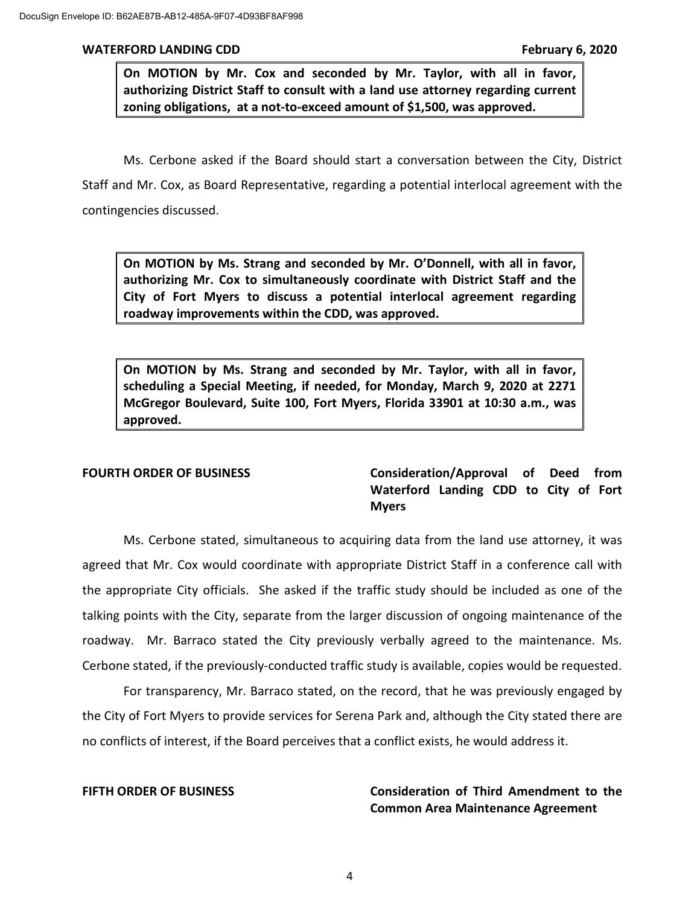**On MOTION by Mr. Cox and seconded by Mr. Taylor, with all in favor, authorizing District Staff to consult with a land use attorney regarding current zoning obligations, at a not-to-exceed amount of \$1,500, was approved.**

Ms. Cerbone asked if the Board should start a conversation between the City, District Staff and Mr. Cox, as Board Representative, regarding a potential interlocal agreement with the contingencies discussed.

**On MOTION by Ms. Strang and seconded by Mr. O'Donnell, with all in favor, authorizing Mr. Cox to simultaneously coordinate with District Staff and the City of Fort Myers to discuss a potential interlocal agreement regarding roadway improvements within the CDD, was approved.**

**On MOTION by Ms. Strang and seconded by Mr. Taylor, with all in favor, scheduling a Special Meeting, if needed, for Monday, March 9, 2020 at 2271 McGregor Boulevard, Suite 100, Fort Myers, Florida 33901 at 10:30 a.m., was approved.**

**FOURTH ORDER OF BUSINESS Consideration/Approval of Deed from Waterford Landing CDD to City of Fort Myers**

Ms. Cerbone stated, simultaneous to acquiring data from the land use attorney, it was agreed that Mr. Cox would coordinate with appropriate District Staff in a conference call with the appropriate City officials. She asked if the traffic study should be included as one of the talking points with the City, separate from the larger discussion of ongoing maintenance of the roadway. Mr. Barraco stated the City previously verbally agreed to the maintenance. Ms. Cerbone stated, if the previously-conducted traffic study is available, copies would be requested.

For transparency, Mr. Barraco stated, on the record, that he was previously engaged by the City of Fort Myers to provide services for Serena Park and, although the City stated there are no conflicts of interest, if the Board perceives that a conflict exists, he would address it.

**FIFTH ORDER OF BUSINESS Consideration of Third Amendment to the Common Area Maintenance Agreement**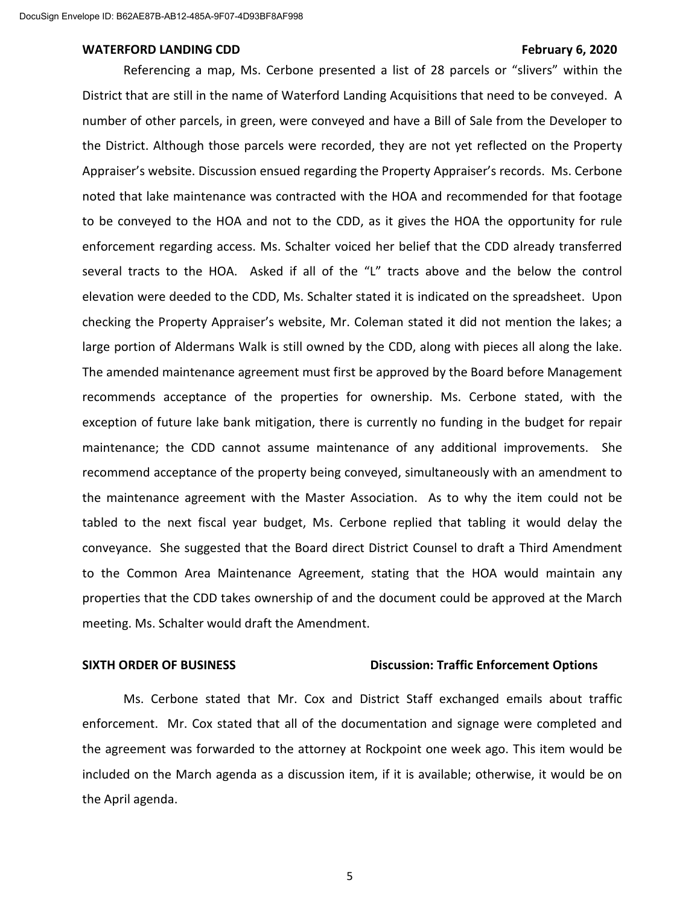#### WATERFORD LANDING CDD **February 6, 2020**

Referencing a map, Ms. Cerbone presented a list of 28 parcels or "slivers" within the District that are still in the name of Waterford Landing Acquisitions that need to be conveyed. A number of other parcels, in green, were conveyed and have a Bill of Sale from the Developer to the District. Although those parcels were recorded, they are not yet reflected on the Property Appraiser's website. Discussion ensued regarding the Property Appraiser's records. Ms. Cerbone noted that lake maintenance was contracted with the HOA and recommended for that footage to be conveyed to the HOA and not to the CDD, as it gives the HOA the opportunity for rule enforcement regarding access. Ms. Schalter voiced her belief that the CDD already transferred several tracts to the HOA. Asked if all of the "L" tracts above and the below the control elevation were deeded to the CDD, Ms. Schalter stated it is indicated on the spreadsheet. Upon checking the Property Appraiser's website, Mr. Coleman stated it did not mention the lakes; a large portion of Aldermans Walk is still owned by the CDD, along with pieces all along the lake. The amended maintenance agreement must first be approved by the Board before Management recommends acceptance of the properties for ownership. Ms. Cerbone stated, with the exception of future lake bank mitigation, there is currently no funding in the budget for repair maintenance; the CDD cannot assume maintenance of any additional improvements. She recommend acceptance of the property being conveyed, simultaneously with an amendment to the maintenance agreement with the Master Association. As to why the item could not be tabled to the next fiscal year budget, Ms. Cerbone replied that tabling it would delay the conveyance. She suggested that the Board direct District Counsel to draft a Third Amendment to the Common Area Maintenance Agreement, stating that the HOA would maintain any properties that the CDD takes ownership of and the document could be approved at the March meeting. Ms. Schalter would draft the Amendment.

### **SIXTH ORDER OF BUSINESS Discussion: Traffic Enforcement Options**

Ms. Cerbone stated that Mr. Cox and District Staff exchanged emails about traffic enforcement. Mr. Cox stated that all of the documentation and signage were completed and the agreement was forwarded to the attorney at Rockpoint one week ago. This item would be included on the March agenda as a discussion item, if it is available; otherwise, it would be on the April agenda.

5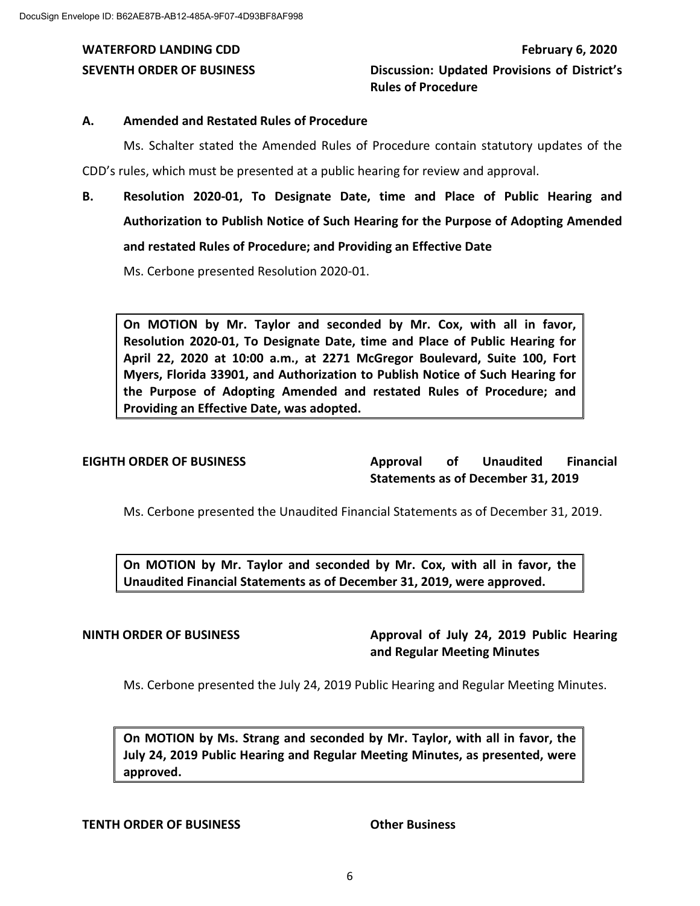### **A. Amended and Restated Rules of Procedure**

Ms. Schalter stated the Amended Rules of Procedure contain statutory updates of the CDD's rules, which must be presented at a public hearing for review and approval.

**B. Resolution 2020-01, To Designate Date, time and Place of Public Hearing and Authorization to Publish Notice of Such Hearing for the Purpose of Adopting Amended and restated Rules of Procedure; and Providing an Effective Date**

Ms. Cerbone presented Resolution 2020-01.

**On MOTION by Mr. Taylor and seconded by Mr. Cox, with all in favor, Resolution 2020-01, To Designate Date, time and Place of Public Hearing for April 22, 2020 at 10:00 a.m., at 2271 McGregor Boulevard, Suite 100, Fort Myers, Florida 33901, and Authorization to Publish Notice of Such Hearing for the Purpose of Adopting Amended and restated Rules of Procedure; and Providing an Effective Date, was adopted.**

**EIGHTH ORDER OF BUSINESS Approval of Unaudited Financial Statements as of December 31, 2019**

Ms. Cerbone presented the Unaudited Financial Statements as of December 31, 2019.

**On MOTION by Mr. Taylor and seconded by Mr. Cox, with all in favor, the Unaudited Financial Statements as of December 31, 2019, were approved.**

# **NINTH ORDER OF BUSINESS Approval of July 24, 2019 Public Hearing and Regular Meeting Minutes**

Ms. Cerbone presented the July 24, 2019 Public Hearing and Regular Meeting Minutes.

**On MOTION by Ms. Strang and seconded by Mr. Taylor, with all in favor, the July 24, 2019 Public Hearing and Regular Meeting Minutes, as presented, were approved.**

### **TENTH ORDER OF BUSINESS Other Business**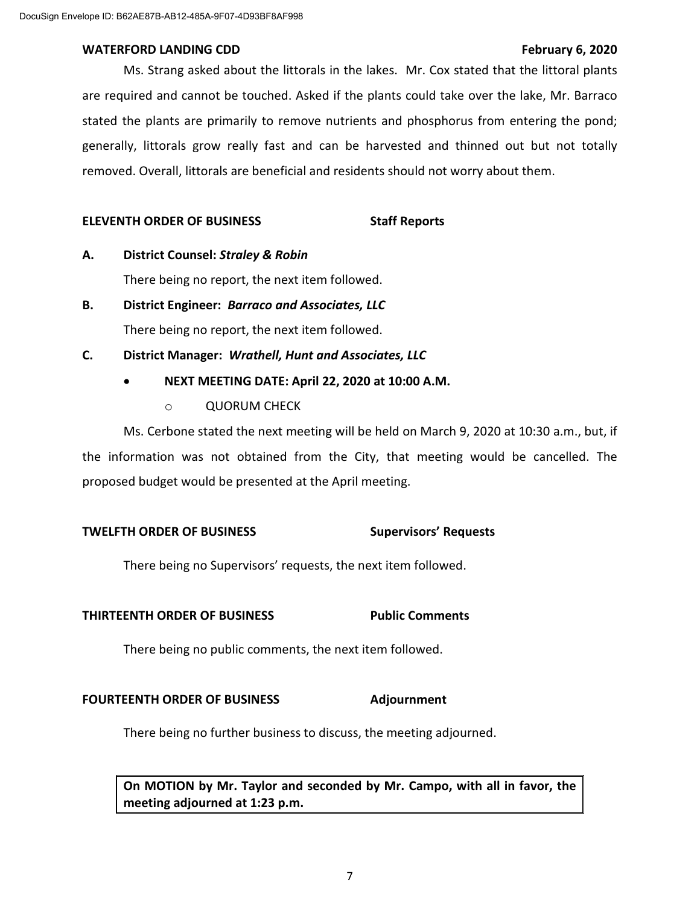Ms. Strang asked about the littorals in the lakes. Mr. Cox stated that the littoral plants are required and cannot be touched. Asked if the plants could take over the lake, Mr. Barraco stated the plants are primarily to remove nutrients and phosphorus from entering the pond; generally, littorals grow really fast and can be harvested and thinned out but not totally removed. Overall, littorals are beneficial and residents should not worry about them.

### **ELEVENTH ORDER OF BUSINESS Staff Reports**

**A. District Counsel:** *Straley & Robin*

There being no report, the next item followed.

- **B. District Engineer:** *Barraco and Associates, LLC* There being no report, the next item followed.
- **C. District Manager:** *Wrathell, Hunt and Associates, LLC*

### • **NEXT MEETING DATE: April 22, 2020 at 10:00 A.M.**

o QUORUM CHECK

Ms. Cerbone stated the next meeting will be held on March 9, 2020 at 10:30 a.m., but, if the information was not obtained from the City, that meeting would be cancelled. The proposed budget would be presented at the April meeting.

## **TWELFTH ORDER OF BUSINESS Supervisors' Requests**

There being no Supervisors' requests, the next item followed.

### **THIRTEENTH ORDER OF BUSINESS Public Comments**

There being no public comments, the next item followed.

### **FOURTEENTH ORDER OF BUSINESS Adjournment**

There being no further business to discuss, the meeting adjourned.

**On MOTION by Mr. Taylor and seconded by Mr. Campo, with all in favor, the meeting adjourned at 1:23 p.m.**